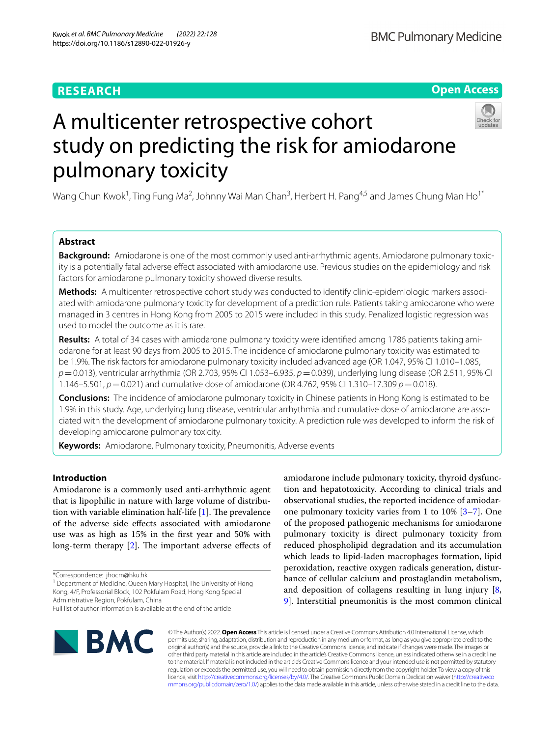# **RESEARCH**

# **Open Access**



# A multicenter retrospective cohort study on predicting the risk for amiodarone pulmonary toxicity

Wang Chun Kwok<sup>1</sup>, Ting Fung Ma<sup>2</sup>, Johnny Wai Man Chan<sup>3</sup>, Herbert H. Pang<sup>4,5</sup> and James Chung Man Ho<sup>1\*</sup>

# **Abstract**

**Background:** Amiodarone is one of the most commonly used anti-arrhythmic agents. Amiodarone pulmonary toxicity is a potentially fatal adverse efect associated with amiodarone use. Previous studies on the epidemiology and risk factors for amiodarone pulmonary toxicity showed diverse results.

**Methods:** A multicenter retrospective cohort study was conducted to identify clinic-epidemiologic markers associated with amiodarone pulmonary toxicity for development of a prediction rule. Patients taking amiodarone who were managed in 3 centres in Hong Kong from 2005 to 2015 were included in this study. Penalized logistic regression was used to model the outcome as it is rare.

**Results:** A total of 34 cases with amiodarone pulmonary toxicity were identifed among 1786 patients taking amiodarone for at least 90 days from 2005 to 2015. The incidence of amiodarone pulmonary toxicity was estimated to be 1.9%. The risk factors for amiodarone pulmonary toxicity included advanced age (OR 1.047, 95% CI 1.010–1.085, *p*=0.013), ventricular arrhythmia (OR 2.703, 95% CI 1.053–6.935, *p*=0.039), underlying lung disease (OR 2.511, 95% CI 1.146–5.501, *p*=0.021) and cumulative dose of amiodarone (OR 4.762, 95% CI 1.310–17.309 *p*=0.018).

**Conclusions:** The incidence of amiodarone pulmonary toxicity in Chinese patients in Hong Kong is estimated to be 1.9% in this study. Age, underlying lung disease, ventricular arrhythmia and cumulative dose of amiodarone are associated with the development of amiodarone pulmonary toxicity. A prediction rule was developed to inform the risk of developing amiodarone pulmonary toxicity.

**Keywords:** Amiodarone, Pulmonary toxicity, Pneumonitis, Adverse events

# **Introduction**

Amiodarone is a commonly used anti-arrhythmic agent that is lipophilic in nature with large volume of distribution with variable elimination half-life  $[1]$  $[1]$ . The prevalence of the adverse side efects associated with amiodarone use was as high as 15% in the frst year and 50% with long-term therapy  $[2]$  $[2]$ . The important adverse effects of

\*Correspondence: jhocm@hku.hk

<sup>1</sup> Department of Medicine, Queen Mary Hospital, The University of Hong Kong, 4/F, Professorial Block, 102 Pokfulam Road, Hong Kong Special Administrative Region, Pokfulam, China

amiodarone include pulmonary toxicity, thyroid dysfunction and hepatotoxicity. According to clinical trials and observational studies, the reported incidence of amiodarone pulmonary toxicity varies from 1 to 10% [[3–](#page-8-2)[7\]](#page-8-3). One of the proposed pathogenic mechanisms for amiodarone pulmonary toxicity is direct pulmonary toxicity from reduced phospholipid degradation and its accumulation which leads to lipid-laden macrophages formation, lipid peroxidation, reactive oxygen radicals generation, disturbance of cellular calcium and prostaglandin metabolism, and deposition of collagens resulting in lung injury [\[8](#page-8-4), [9\]](#page-8-5). Interstitial pneumonitis is the most common clinical



© The Author(s) 2022. **Open Access** This article is licensed under a Creative Commons Attribution 4.0 International License, which permits use, sharing, adaptation, distribution and reproduction in any medium or format, as long as you give appropriate credit to the original author(s) and the source, provide a link to the Creative Commons licence, and indicate if changes were made. The images or other third party material in this article are included in the article's Creative Commons licence, unless indicated otherwise in a credit line to the material. If material is not included in the article's Creative Commons licence and your intended use is not permitted by statutory regulation or exceeds the permitted use, you will need to obtain permission directly from the copyright holder. To view a copy of this licence, visit [http://creativecommons.org/licenses/by/4.0/.](http://creativecommons.org/licenses/by/4.0/) The Creative Commons Public Domain Dedication waiver ([http://creativeco](http://creativecommons.org/publicdomain/zero/1.0/) [mmons.org/publicdomain/zero/1.0/](http://creativecommons.org/publicdomain/zero/1.0/)) applies to the data made available in this article, unless otherwise stated in a credit line to the data.

Full list of author information is available at the end of the article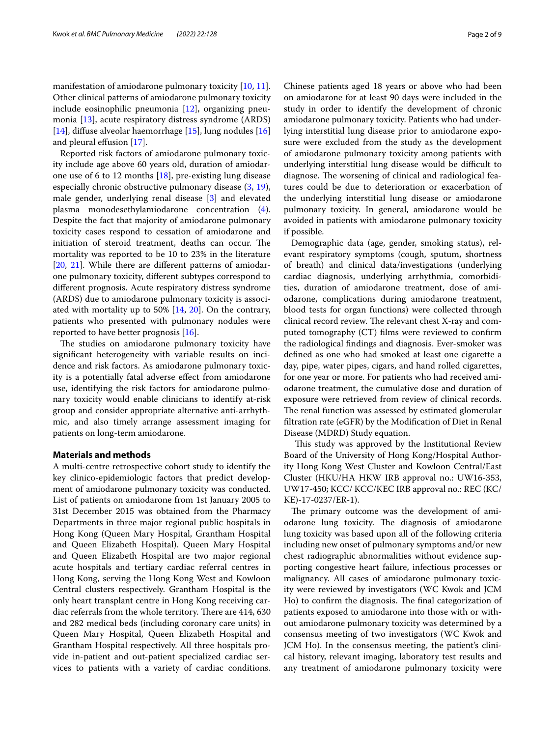manifestation of amiodarone pulmonary toxicity [[10,](#page-8-6) [11](#page-8-7)]. Other clinical patterns of amiodarone pulmonary toxicity include eosinophilic pneumonia [\[12\]](#page-8-8), organizing pneumonia [\[13\]](#page-8-9), acute respiratory distress syndrome (ARDS) [[14\]](#page-8-10), difuse alveolar haemorrhage [[15](#page-8-11)], lung nodules [[16](#page-8-12)] and pleural effusion [\[17\]](#page-8-13).

Reported risk factors of amiodarone pulmonary toxicity include age above 60 years old, duration of amiodarone use of 6 to 12 months  $[18]$  $[18]$ , pre-existing lung disease especially chronic obstructive pulmonary disease [\(3](#page-8-2), [19](#page-8-15)), male gender, underlying renal disease [[3\]](#page-8-2) and elevated plasma monodesethylamiodarone concentration [\(4](#page-8-16)). Despite the fact that majority of amiodarone pulmonary toxicity cases respond to cessation of amiodarone and initiation of steroid treatment, deaths can occur. The mortality was reported to be 10 to 23% in the literature [[20,](#page-8-17) [21\]](#page-8-18). While there are different patterns of amiodarone pulmonary toxicity, diferent subtypes correspond to diferent prognosis. Acute respiratory distress syndrome (ARDS) due to amiodarone pulmonary toxicity is associated with mortality up to 50% [[14,](#page-8-10) [20\]](#page-8-17). On the contrary, patients who presented with pulmonary nodules were reported to have better prognosis [\[16](#page-8-12)].

The studies on amiodarone pulmonary toxicity have signifcant heterogeneity with variable results on incidence and risk factors. As amiodarone pulmonary toxicity is a potentially fatal adverse efect from amiodarone use, identifying the risk factors for amiodarone pulmonary toxicity would enable clinicians to identify at-risk group and consider appropriate alternative anti-arrhythmic, and also timely arrange assessment imaging for patients on long-term amiodarone.

## **Materials and methods**

A multi-centre retrospective cohort study to identify the key clinico-epidemiologic factors that predict development of amiodarone pulmonary toxicity was conducted. List of patients on amiodarone from 1st January 2005 to 31st December 2015 was obtained from the Pharmacy Departments in three major regional public hospitals in Hong Kong (Queen Mary Hospital, Grantham Hospital and Queen Elizabeth Hospital). Queen Mary Hospital and Queen Elizabeth Hospital are two major regional acute hospitals and tertiary cardiac referral centres in Hong Kong, serving the Hong Kong West and Kowloon Central clusters respectively. Grantham Hospital is the only heart transplant centre in Hong Kong receiving cardiac referrals from the whole territory. There are 414, 630 and 282 medical beds (including coronary care units) in Queen Mary Hospital, Queen Elizabeth Hospital and Grantham Hospital respectively. All three hospitals provide in-patient and out-patient specialized cardiac services to patients with a variety of cardiac conditions.

Chinese patients aged 18 years or above who had been on amiodarone for at least 90 days were included in the study in order to identify the development of chronic amiodarone pulmonary toxicity. Patients who had underlying interstitial lung disease prior to amiodarone exposure were excluded from the study as the development of amiodarone pulmonary toxicity among patients with underlying interstitial lung disease would be difficult to diagnose. The worsening of clinical and radiological features could be due to deterioration or exacerbation of the underlying interstitial lung disease or amiodarone pulmonary toxicity. In general, amiodarone would be avoided in patients with amiodarone pulmonary toxicity if possible.

Demographic data (age, gender, smoking status), relevant respiratory symptoms (cough, sputum, shortness of breath) and clinical data/investigations (underlying cardiac diagnosis, underlying arrhythmia, comorbidities, duration of amiodarone treatment, dose of amiodarone, complications during amiodarone treatment, blood tests for organ functions) were collected through clinical record review. The relevant chest X-ray and computed tomography (CT) flms were reviewed to confrm the radiological fndings and diagnosis. Ever-smoker was defned as one who had smoked at least one cigarette a day, pipe, water pipes, cigars, and hand rolled cigarettes, for one year or more. For patients who had received amiodarone treatment, the cumulative dose and duration of exposure were retrieved from review of clinical records. The renal function was assessed by estimated glomerular fltration rate (eGFR) by the Modifcation of Diet in Renal Disease (MDRD) Study equation.

This study was approved by the Institutional Review Board of the University of Hong Kong/Hospital Authority Hong Kong West Cluster and Kowloon Central/East Cluster (HKU/HA HKW IRB approval no.: UW16-353, UW17-450; KCC/ KCC/KEC IRB approval no.: REC (KC/ KE)-17-0237/ER-1).

The primary outcome was the development of amiodarone lung toxicity. The diagnosis of amiodarone lung toxicity was based upon all of the following criteria including new onset of pulmonary symptoms and/or new chest radiographic abnormalities without evidence supporting congestive heart failure, infectious processes or malignancy. All cases of amiodarone pulmonary toxicity were reviewed by investigators (WC Kwok and JCM Ho) to confirm the diagnosis. The final categorization of patients exposed to amiodarone into those with or without amiodarone pulmonary toxicity was determined by a consensus meeting of two investigators (WC Kwok and JCM Ho). In the consensus meeting, the patient's clinical history, relevant imaging, laboratory test results and any treatment of amiodarone pulmonary toxicity were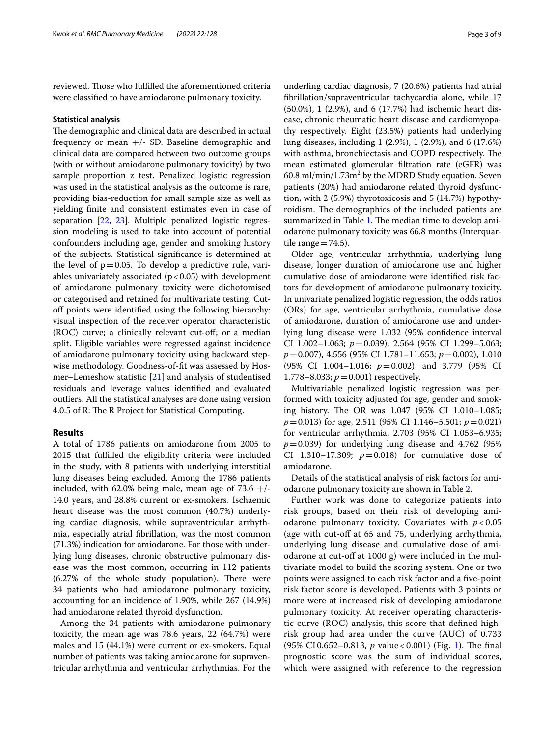reviewed. Those who fulfilled the aforementioned criteria were classifed to have amiodarone pulmonary toxicity.

## **Statistical analysis**

The demographic and clinical data are described in actual frequency or mean  $+/-$  SD. Baseline demographic and clinical data are compared between two outcome groups (with or without amiodarone pulmonary toxicity) by two sample proportion z test. Penalized logistic regression was used in the statistical analysis as the outcome is rare, providing bias-reduction for small sample size as well as yielding fnite and consistent estimates even in case of separation [\[22](#page-8-19), [23\]](#page-8-20). Multiple penalized logistic regression modeling is used to take into account of potential confounders including age, gender and smoking history of the subjects. Statistical signifcance is determined at the level of  $p=0.05$ . To develop a predictive rule, variables univariately associated  $(p<0.05)$  with development of amiodarone pulmonary toxicity were dichotomised or categorised and retained for multivariate testing. Cutoff points were identified using the following hierarchy: visual inspection of the receiver operator characteristic (ROC) curve; a clinically relevant cut-of; or a median split. Eligible variables were regressed against incidence of amiodarone pulmonary toxicity using backward stepwise methodology. Goodness-of-ft was assessed by Hosmer–Lemeshow statistic [\[21](#page-8-18)] and analysis of studentised residuals and leverage values identifed and evaluated outliers. All the statistical analyses are done using version 4.0.5 of R: The R Project for Statistical Computing.

## **Results**

A total of 1786 patients on amiodarone from 2005 to 2015 that fulflled the eligibility criteria were included in the study, with 8 patients with underlying interstitial lung diseases being excluded. Among the 1786 patients included, with 62.0% being male, mean age of  $73.6 +/-$ 14.0 years, and 28.8% current or ex-smokers. Ischaemic heart disease was the most common (40.7%) underlying cardiac diagnosis, while supraventricular arrhythmia, especially atrial fbrillation, was the most common (71.3%) indication for amiodarone. For those with underlying lung diseases, chronic obstructive pulmonary disease was the most common, occurring in 112 patients  $(6.27%$  of the whole study population). There were 34 patients who had amiodarone pulmonary toxicity, accounting for an incidence of 1.90%, while 267 (14.9%) had amiodarone related thyroid dysfunction.

Among the 34 patients with amiodarone pulmonary toxicity, the mean age was 78.6 years, 22 (64.7%) were males and 15 (44.1%) were current or ex-smokers. Equal number of patients was taking amiodarone for supraventricular arrhythmia and ventricular arrhythmias. For the underling cardiac diagnosis, 7 (20.6%) patients had atrial fbrillation/supraventricular tachycardia alone, while 17 (50.0%), 1 (2.9%), and 6 (17.7%) had ischemic heart disease, chronic rheumatic heart disease and cardiomyopathy respectively. Eight (23.5%) patients had underlying lung diseases, including 1 (2.9%), 1 (2.9%), and 6 (17.6%) with asthma, bronchiectasis and COPD respectively. The mean estimated glomerular fltration rate (eGFR) was  $60.8$  ml/min/ $1.73$ m<sup>2</sup> by the MDRD Study equation. Seven patients (20%) had amiodarone related thyroid dysfunction, with 2 (5.9%) thyrotoxicosis and 5 (14.7%) hypothyroidism. The demographics of the included patients are summarized in Table [1](#page-3-0). The median time to develop amiodarone pulmonary toxicity was 66.8 months (Interquartile range  $=74.5$ ).

Older age, ventricular arrhythmia, underlying lung disease, longer duration of amiodarone use and higher cumulative dose of amiodarone were identifed risk factors for development of amiodarone pulmonary toxicity. In univariate penalized logistic regression, the odds ratios (ORs) for age, ventricular arrhythmia, cumulative dose of amiodarone, duration of amiodarone use and underlying lung disease were 1.032 (95% confdence interval CI 1.002–1.063; *p*=0.039), 2.564 (95% CI 1.299–5.063; *p*=0.007), 4.556 (95% CI 1.781–11.653; *p*=0.002), 1.010 (95% CI 1.004–1.016; *p*=0.002), and 3.779 (95% CI 1.778–8.033;  $p = 0.001$ ) respectively.

Multivariable penalized logistic regression was performed with toxicity adjusted for age, gender and smoking history. The OR was 1.047 (95% CI 1.010-1.085; *p*=0.013) for age, 2.511 (95% CI 1.146–5.501; *p*=0.021) for ventricular arrhythmia, 2.703 (95% CI 1.053–6.935;  $p=0.039$ ) for underlying lung disease and 4.762 (95%) CI 1.310–17.309;  $p=0.018$ ) for cumulative dose of amiodarone.

Details of the statistical analysis of risk factors for amiodarone pulmonary toxicity are shown in Table [2.](#page-3-1)

Further work was done to categorize patients into risk groups, based on their risk of developing amiodarone pulmonary toxicity. Covariates with *p* < 0.05 (age with cut-off at 65 and 75, underlying arrhythmia, underlying lung disease and cumulative dose of amiodarone at cut-off at  $1000$  g) were included in the multivariate model to build the scoring system. One or two points were assigned to each risk factor and a fve-point risk factor score is developed. Patients with 3 points or more were at increased risk of developing amiodarone pulmonary toxicity. At receiver operating characteristic curve (ROC) analysis, this score that defned highrisk group had area under the curve (AUC) of 0.733 (95% CI 0.652–0.8[1](#page-4-0)3, *p* value < 0.001) (Fig. 1). The final prognostic score was the sum of individual scores, which were assigned with reference to the regression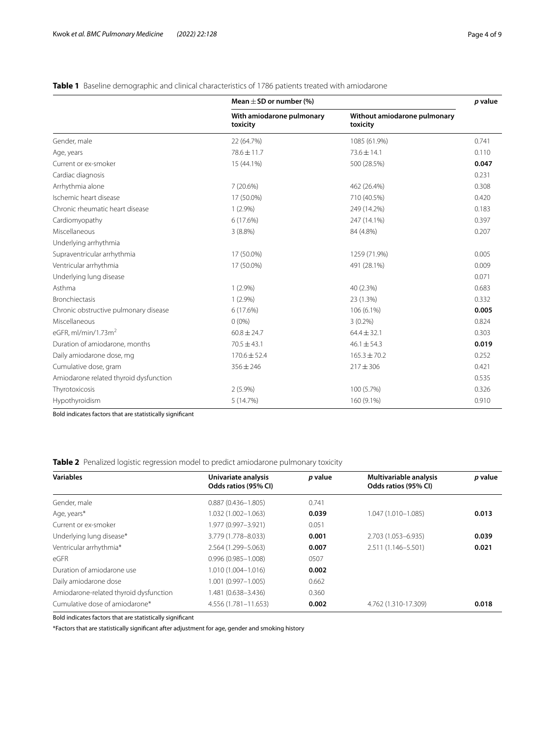# <span id="page-3-0"></span>**Table 1** Baseline demographic and clinical characteristics of 1786 patients treated with amiodarone

|                                        | Mean $\pm$ SD or number (%)           |                                          | p value |
|----------------------------------------|---------------------------------------|------------------------------------------|---------|
|                                        | With amiodarone pulmonary<br>toxicity | Without amiodarone pulmonary<br>toxicity |         |
| Gender, male                           | 22 (64.7%)                            | 1085 (61.9%)                             | 0.741   |
| Age, years                             | 78.6 ± 11.7                           | $73.6 \pm 14.1$                          | 0.110   |
| Current or ex-smoker                   | 15 (44.1%)                            | 500 (28.5%)                              | 0.047   |
| Cardiac diagnosis                      |                                       |                                          | 0.231   |
| Arrhythmia alone                       | 7(20.6%)                              | 462 (26.4%)                              | 0.308   |
| Ischemic heart disease                 | 17 (50.0%)                            | 710 (40.5%)                              | 0.420   |
| Chronic rheumatic heart disease        | $1(2.9\%)$                            | 249 (14.2%)                              | 0.183   |
| Cardiomyopathy                         | 6(17.6%)                              | 247 (14.1%)                              | 0.397   |
| Miscellaneous                          | $3(8.8\%)$                            | 84 (4.8%)                                | 0.207   |
| Underlying arrhythmia                  |                                       |                                          |         |
| Supraventricular arrhythmia            | 17 (50.0%)                            | 1259 (71.9%)                             | 0.005   |
| Ventricular arrhythmia                 | 17 (50.0%)                            | 491 (28.1%)                              | 0.009   |
| Underlying lung disease                |                                       |                                          | 0.071   |
| Asthma                                 | $1(2.9\%)$                            | 40 (2.3%)                                | 0.683   |
| <b>Bronchiectasis</b>                  | $1(2.9\%)$                            | 23 (1.3%)                                | 0.332   |
| Chronic obstructive pulmonary disease  | 6(17.6%)                              | 106 (6.1%)                               | 0.005   |
| Miscellaneous                          | $0(0\%)$                              | $3(0.2\%)$                               | 0.824   |
| eGFR, $ml/min/1.73m2$                  | $60.8 \pm 24.7$                       | $64.4 \pm 32.1$                          | 0.303   |
| Duration of amiodarone, months         | $70.5 \pm 43.1$                       | $46.1 \pm 54.3$                          | 0.019   |
| Daily amiodarone dose, mg              | $170.6 \pm 52.4$                      | $165.3 \pm 70.2$                         | 0.252   |
| Cumulative dose, gram                  | $356 \pm 246$                         | $217 \pm 306$                            | 0.421   |
| Amiodarone related thyroid dysfunction |                                       |                                          | 0.535   |
| Thyrotoxicosis                         | $2(5.9\%)$                            | 100 (5.7%)                               | 0.326   |
| Hypothyroidism                         | 5 (14.7%)                             | 160 (9.1%)                               | 0.910   |

Bold indicates factors that are statistically signifcant

<span id="page-3-1"></span>**Table 2** Penalized logistic regression model to predict amiodarone pulmonary toxicity

| <b>Variables</b>                       | Univariate analysis<br>Odds ratios (95% CI) | p value | Multivariable analysis<br>Odds ratios (95% CI) | p value |
|----------------------------------------|---------------------------------------------|---------|------------------------------------------------|---------|
| Gender, male                           | $0.887(0.436 - 1.805)$                      | 0.741   |                                                |         |
| Age, years*                            | 1.032 (1.002-1.063)                         | 0.039   | 1.047 (1.010-1.085)                            | 0.013   |
| Current or ex-smoker                   | 1.977 (0.997-3.921)                         | 0.051   |                                                |         |
| Underlying lung disease*               | 3.779 (1.778-8.033)                         | 0.001   | 2.703 (1.053-6.935)                            | 0.039   |
| Ventricular arrhythmia*                | 2.564 (1.299-5.063)                         | 0.007   | 2.511 (1.146-5.501)                            | 0.021   |
| $\epsilon$ GFR                         | $0.996(0.985 - 1.008)$                      | 0507    |                                                |         |
| Duration of amiodarone use             | 1.010 (1.004-1.016)                         | 0.002   |                                                |         |
| Daily amiodarone dose                  | $.001(0.997 - 1.005)$                       | 0.662   |                                                |         |
| Amiodarone-related thyroid dysfunction | 1.481 (0.638–3.436)                         | 0.360   |                                                |         |
| Cumulative dose of amiodarone*         | 4.556 (1.781-11.653)                        | 0.002   | 4.762 (1.310-17.309)                           | 0.018   |
|                                        |                                             |         |                                                |         |

Bold indicates factors that are statistically signifcant

\*Factors that are statistically signifcant after adjustment for age, gender and smoking history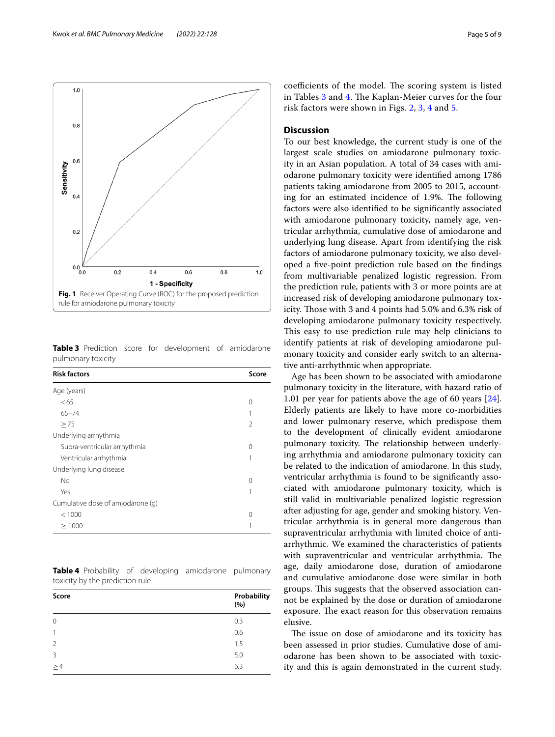

<span id="page-4-1"></span><span id="page-4-0"></span>**Table 3** Prediction score for development of amiodarone pulmonary toxicity

| <b>Risk factors</b>               | Score |
|-----------------------------------|-------|
| Age (years)                       |       |
| <65                               | 0     |
| $65 - 74$                         |       |
| > 75                              | 2     |
| Underlying arrhythmia             |       |
| Supra-ventricular arrhythmia      | 0     |
| Ventricular arrhythmia            |       |
| Underlying lung disease           |       |
| No                                | ∩     |
| Yes                               |       |
| Cumulative dose of amiodarone (g) |       |
| < 1000                            | ∩     |
| >1000                             |       |

<span id="page-4-2"></span>**Table 4** Probability of developing amiodarone pulmonary toxicity by the prediction rule

| Score          | Probability<br>(%) |
|----------------|--------------------|
| $\mathbf 0$    | 0.3                |
| 1              | 0.6                |
| $\overline{2}$ | 1.5                |
| 3              | 5.0                |
| >4             | 6.3                |

coefficients of the model. The scoring system is listed in Tables [3](#page-4-1) and [4.](#page-4-2) The Kaplan-Meier curves for the four risk factors were shown in Figs. [2](#page-5-0), [3](#page-5-1), [4](#page-6-0) and [5.](#page-6-1)

# **Discussion**

To our best knowledge, the current study is one of the largest scale studies on amiodarone pulmonary toxicity in an Asian population. A total of 34 cases with amiodarone pulmonary toxicity were identifed among 1786 patients taking amiodarone from 2005 to 2015, accounting for an estimated incidence of 1.9%. The following factors were also identifed to be signifcantly associated with amiodarone pulmonary toxicity, namely age, ventricular arrhythmia, cumulative dose of amiodarone and underlying lung disease. Apart from identifying the risk factors of amiodarone pulmonary toxicity, we also developed a fve-point prediction rule based on the fndings from multivariable penalized logistic regression. From the prediction rule, patients with 3 or more points are at increased risk of developing amiodarone pulmonary toxicity. Those with 3 and 4 points had 5.0% and 6.3% risk of developing amiodarone pulmonary toxicity respectively. This easy to use prediction rule may help clinicians to identify patients at risk of developing amiodarone pulmonary toxicity and consider early switch to an alternative anti-arrhythmic when appropriate.

Age has been shown to be associated with amiodarone pulmonary toxicity in the literature, with hazard ratio of 1.01 per year for patients above the age of 60 years [\[24](#page-8-21)]. Elderly patients are likely to have more co-morbidities and lower pulmonary reserve, which predispose them to the development of clinically evident amiodarone pulmonary toxicity. The relationship between underlying arrhythmia and amiodarone pulmonary toxicity can be related to the indication of amiodarone. In this study, ventricular arrhythmia is found to be signifcantly associated with amiodarone pulmonary toxicity, which is still valid in multivariable penalized logistic regression after adjusting for age, gender and smoking history. Ventricular arrhythmia is in general more dangerous than supraventricular arrhythmia with limited choice of antiarrhythmic. We examined the characteristics of patients with supraventricular and ventricular arrhythmia. The age, daily amiodarone dose, duration of amiodarone and cumulative amiodarone dose were similar in both groups. This suggests that the observed association cannot be explained by the dose or duration of amiodarone exposure. The exact reason for this observation remains elusive.

The issue on dose of amiodarone and its toxicity has been assessed in prior studies. Cumulative dose of amiodarone has been shown to be associated with toxicity and this is again demonstrated in the current study.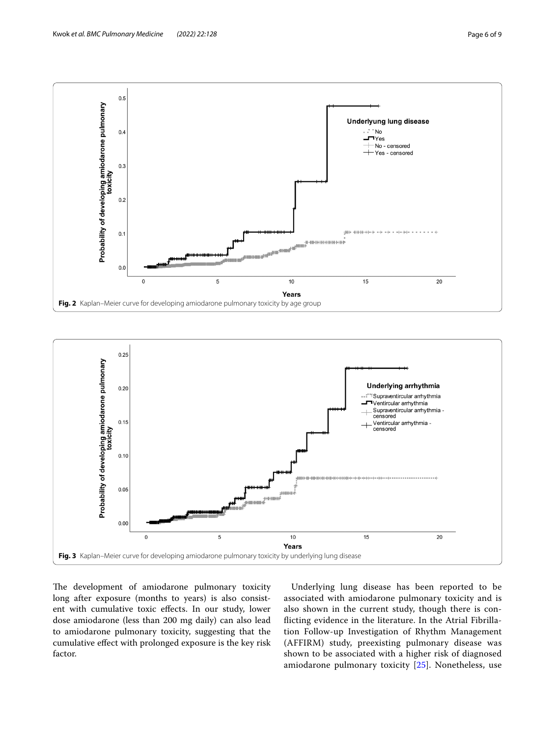

<span id="page-5-0"></span>

<span id="page-5-1"></span>The development of amiodarone pulmonary toxicity long after exposure (months to years) is also consistent with cumulative toxic efects. In our study, lower dose amiodarone (less than 200 mg daily) can also lead to amiodarone pulmonary toxicity, suggesting that the cumulative efect with prolonged exposure is the key risk factor.

Underlying lung disease has been reported to be associated with amiodarone pulmonary toxicity and is also shown in the current study, though there is conficting evidence in the literature. In the Atrial Fibrillation Follow-up Investigation of Rhythm Management (AFFIRM) study, preexisting pulmonary disease was shown to be associated with a higher risk of diagnosed amiodarone pulmonary toxicity [\[25](#page-8-22)]. Nonetheless, use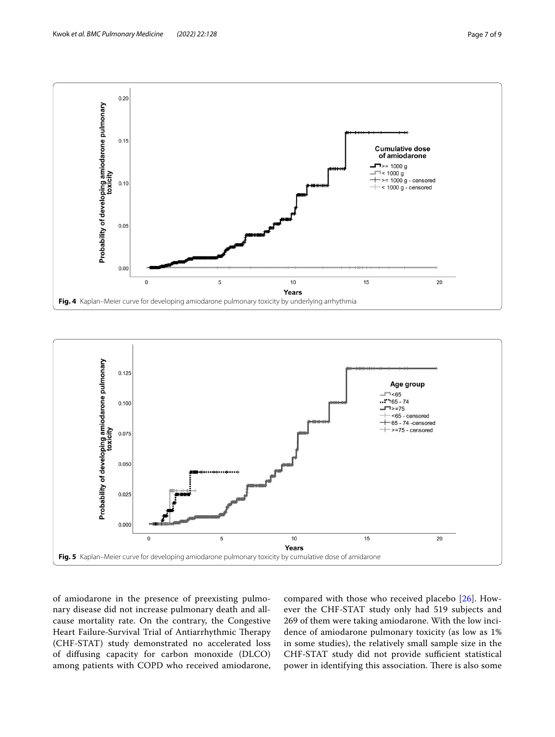

<span id="page-6-0"></span>

<span id="page-6-1"></span>of amiodarone in the presence of preexisting pulmonary disease did not increase pulmonary death and allcause mortality rate. On the contrary, the Congestive Heart Failure-Survival Trial of Antiarrhythmic Therapy (CHF-STAT) study demonstrated no accelerated loss of difusing capacity for carbon monoxide (DLCO) among patients with COPD who received amiodarone, compared with those who received placebo [[26](#page-8-23)]. However the CHF-STAT study only had 519 subjects and 269 of them were taking amiodarone. With the low incidence of amiodarone pulmonary toxicity (as low as 1% in some studies), the relatively small sample size in the CHF-STAT study did not provide sufficient statistical power in identifying this association. There is also some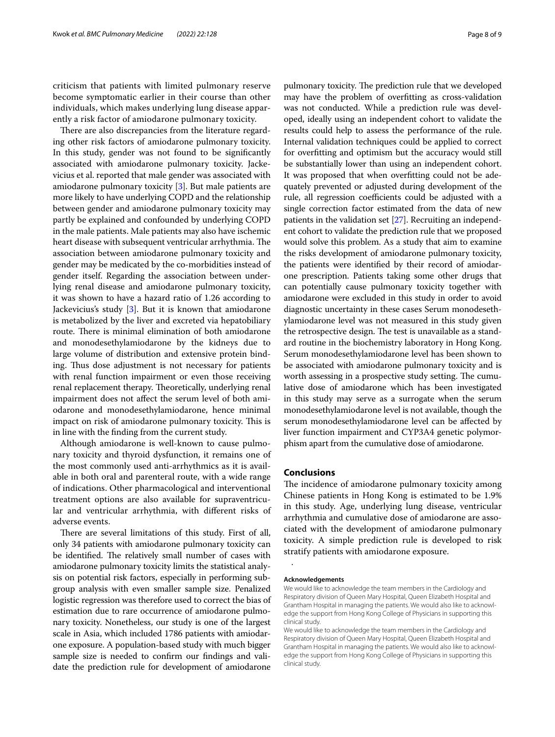criticism that patients with limited pulmonary reserve become symptomatic earlier in their course than other individuals, which makes underlying lung disease apparently a risk factor of amiodarone pulmonary toxicity.

There are also discrepancies from the literature regarding other risk factors of amiodarone pulmonary toxicity. In this study, gender was not found to be signifcantly associated with amiodarone pulmonary toxicity. Jackevicius et al. reported that male gender was associated with amiodarone pulmonary toxicity [\[3](#page-8-2)]. But male patients are more likely to have underlying COPD and the relationship between gender and amiodarone pulmonary toxicity may partly be explained and confounded by underlying COPD in the male patients. Male patients may also have ischemic heart disease with subsequent ventricular arrhythmia. The association between amiodarone pulmonary toxicity and gender may be medicated by the co-morbidities instead of gender itself. Regarding the association between underlying renal disease and amiodarone pulmonary toxicity, it was shown to have a hazard ratio of 1.26 according to Jackevicius's study [[3\]](#page-8-2). But it is known that amiodarone is metabolized by the liver and excreted via hepatobiliary route. There is minimal elimination of both amiodarone and monodesethylamiodarone by the kidneys due to large volume of distribution and extensive protein binding. Thus dose adjustment is not necessary for patients with renal function impairment or even those receiving renal replacement therapy. Theoretically, underlying renal impairment does not afect the serum level of both amiodarone and monodesethylamiodarone, hence minimal impact on risk of amiodarone pulmonary toxicity. This is in line with the fnding from the current study.

Although amiodarone is well-known to cause pulmonary toxicity and thyroid dysfunction, it remains one of the most commonly used anti-arrhythmics as it is available in both oral and parenteral route, with a wide range of indications. Other pharmacological and interventional treatment options are also available for supraventricular and ventricular arrhythmia, with diferent risks of adverse events.

There are several limitations of this study. First of all, only 34 patients with amiodarone pulmonary toxicity can be identified. The relatively small number of cases with amiodarone pulmonary toxicity limits the statistical analysis on potential risk factors, especially in performing subgroup analysis with even smaller sample size. Penalized logistic regression was therefore used to correct the bias of estimation due to rare occurrence of amiodarone pulmonary toxicity. Nonetheless, our study is one of the largest scale in Asia, which included 1786 patients with amiodarone exposure. A population-based study with much bigger sample size is needed to confrm our fndings and validate the prediction rule for development of amiodarone pulmonary toxicity. The prediction rule that we developed may have the problem of overftting as cross-validation was not conducted. While a prediction rule was developed, ideally using an independent cohort to validate the results could help to assess the performance of the rule. Internal validation techniques could be applied to correct for overftting and optimism but the accuracy would still be substantially lower than using an independent cohort. It was proposed that when overftting could not be adequately prevented or adjusted during development of the rule, all regression coefficients could be adjusted with a single correction factor estimated from the data of new patients in the validation set [\[27\]](#page-8-24). Recruiting an independent cohort to validate the prediction rule that we proposed would solve this problem. As a study that aim to examine the risks development of amiodarone pulmonary toxicity, the patients were identifed by their record of amiodarone prescription. Patients taking some other drugs that can potentially cause pulmonary toxicity together with amiodarone were excluded in this study in order to avoid diagnostic uncertainty in these cases Serum monodesethylamiodarone level was not measured in this study given the retrospective design. The test is unavailable as a standard routine in the biochemistry laboratory in Hong Kong. Serum monodesethylamiodarone level has been shown to be associated with amiodarone pulmonary toxicity and is worth assessing in a prospective study setting. The cumulative dose of amiodarone which has been investigated in this study may serve as a surrogate when the serum monodesethylamiodarone level is not available, though the serum monodesethylamiodarone level can be afected by liver function impairment and CYP3A4 genetic polymorphism apart from the cumulative dose of amiodarone.

# **Conclusions**

The incidence of amiodarone pulmonary toxicity among Chinese patients in Hong Kong is estimated to be 1.9% in this study. Age, underlying lung disease, ventricular arrhythmia and cumulative dose of amiodarone are associated with the development of amiodarone pulmonary toxicity. A simple prediction rule is developed to risk stratify patients with amiodarone exposure.

#### **Acknowledgements**

.

We would like to acknowledge the team members in the Cardiology and Respiratory division of Queen Mary Hospital, Queen Elizabeth Hospital and Grantham Hospital in managing the patients. We would also like to acknowledge the support from Hong Kong College of Physicians in supporting this clinical study.

We would like to acknowledge the team members in the Cardiology and Respiratory division of Queen Mary Hospital, Queen Elizabeth Hospital and Grantham Hospital in managing the patients. We would also like to acknowledge the support from Hong Kong College of Physicians in supporting this clinical study.